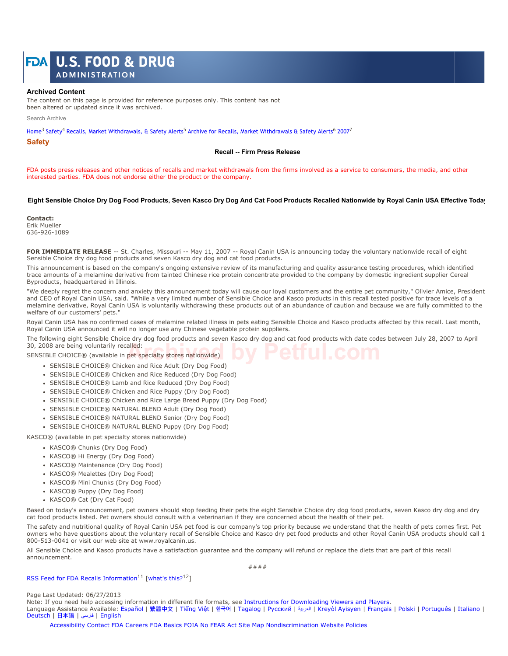# **U.S. FOOD & DRUG** FDAI

**ADMINISTRATION** 

#### **Archived Content**

The content on this page is provided for reference purposes only. This content has not been altered or updated since it was archived.

Search Archive

Home<sup>3</sup> Safety<sup>4</sup> Recalls, Market Withdrawals, & Safety Alerts<sup>5</sup> Archive for Recalls, Market Withdrawals & Safety Alerts<sup>6</sup> 2007<sup>7</sup>

**Safety**

#### **Recall -- Firm Press Release**

FDA posts press releases and other notices of recalls and market withdrawals from the firms involved as a service to consumers, the media, and other interested parties. FDA does not endorse either the product or the company.

### **Eight Sensible Choice Dry Dog Food Products, Seven Kasco Dry Dog And Cat Food Products Recalled Nationwide by Royal Canin USA Effective Today**

**Contact:** Erik Mueller 636-926-1089

FOR IMMEDIATE RELEASE -- St. Charles, Missouri -- May 11, 2007 -- Royal Canin USA is announcing today the voluntary nationwide recall of eight Sensible Choice dry dog food products and seven Kasco dry dog and cat food products.

This announcement is based on the company's ongoing extensive review of its manufacturing and quality assurance testing procedures, which identified trace amounts of a melamine derivative from tainted Chinese rice protein concentrate provided to the company by domestic ingredient supplier Cereal Byproducts, headquartered in Illinois.

"We deeply regret the concern and anxiety this announcement today will cause our loyal customers and the entire pet community," Olivier Amice, President and CEO of Royal Canin USA, said. "While a very limited number of Sensible Choice and Kasco products in this recall tested positive for trace levels of a melamine derivative, Royal Canin USA is voluntarily withdrawing these products out of an abundance of caution and because we are fully committed to the welfare of our customers' pets."

Royal Canin USA has no confirmed cases of melamine related illness in pets eating Sensible Choice and Kasco products affected by this recall. Last month, Royal Canin USA announced it will no longer use any Chinese vegetable protein suppliers.

The following eight Sensible Choice dry dog food products and seven Kasco dry dog and cat food products with date codes between July 28, 2007 to April 30, 2008 are being voluntarily recalled:

SENSIBLE CHOICE® (available in pet specialty stores nationwide) alled: **Archived By Petful.com** 

- SENSIBLE CHOICE® Chicken and Rice Adult (Dry Dog Food)
- SENSIBLE CHOICE® Chicken and Rice Reduced (Dry Dog Food)
- SENSIBLE CHOICE® Lamb and Rice Reduced (Dry Dog Food)
- SENSIBLE CHOICE® Chicken and Rice Puppy (Dry Dog Food)
- SENSIBLE CHOICE® Chicken and Rice Large Breed Puppy (Dry Dog Food)
- SENSIBLE CHOICE® NATURAL BLEND Adult (Dry Dog Food)
- SENSIBLE CHOICE® NATURAL BLEND Senior (Dry Dog Food)
- SENSIBLE CHOICE® NATURAL BLEND Puppy (Dry Dog Food)

KASCO® (available in pet specialty stores nationwide)

- KASCO® Chunks (Dry Dog Food)
- KASCO® Hi Energy (Dry Dog Food)
- KASCO® Maintenance (Dry Dog Food)
- KASCO® Mealettes (Dry Dog Food)
- KASCO® Mini Chunks (Dry Dog Food)
- KASCO® Puppy (Dry Dog Food)
- KASCO® Cat (Dry Cat Food)

Based on today's announcement, pet owners should stop feeding their pets the eight Sensible Choice dry dog food products, seven Kasco dry dog and dry cat food products listed. Pet owners should consult with a veterinarian if they are concerned about the health of their pet.

The safety and nutritional quality of Royal Canin USA pet food is our company's top priority because we understand that the health of pets comes first. Pet owners who have questions about the voluntary recall of Sensible Choice and Kasco dry pet food products and other Royal Canin USA products should call 1 800-513-0041 or visit our web site at www.royalcanin.us.

All Sensible Choice and Kasco products have a satisfaction guarantee and the company will refund or replace the diets that are part of this recall announcement.

####

RSS Feed for FDA Recalls Information<sup>11</sup> [what's this?<sup>12</sup>]

Page Last Updated: 06/27/2013

Note: If you need help accessing information in different file formats, see Instructions for Downloading Viewers and Players. Language Assistance Available: Español | 繁體中⽂ | Tiếng Việt | 한국어 | Tagalog | Русский | العربیة | Kreyòl Ayisyen | Français | Polski | Português | Italiano | Deutsch | ⽇本語 | فارسی | English

Accessibility Contact FDA Careers FDA Basics FOIA No FEAR Act Site Map Nondiscrimination Website Policies